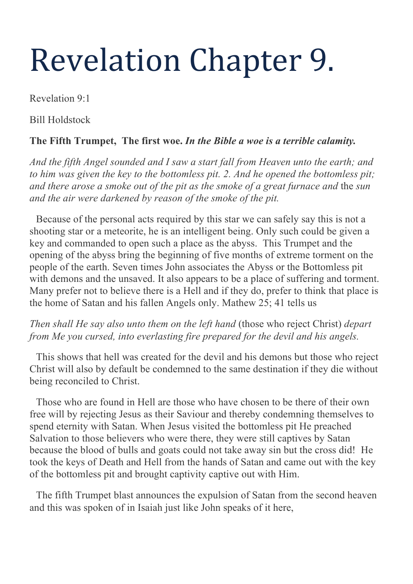# Revelation Chapter 9.

Revelation 9:1

Bill Holdstock

# **The Fifth Trumpet, The first woe.** *In the Bible a woe is a terrible calamity.*

*And the fifth Angel sounded and I saw a start fall from Heaven unto the earth; and to him was given the key to the bottomless pit. 2. And he opened the bottomless pit; and there arose a smoke out of the pit as the smoke of a great furnace and* the *sun and the air were darkened by reason of the smoke of the pit.*

Because of the personal acts required by this star we can safely say this is not a shooting star or a meteorite, he is an intelligent being. Only such could be given a key and commanded to open such a place as the abyss. This Trumpet and the opening of the abyss bring the beginning of five months of extreme torment on the people of the earth. Seven times John associates the Abyss or the Bottomless pit with demons and the unsaved. It also appears to be a place of suffering and torment. Many prefer not to believe there is a Hell and if they do, prefer to think that place is the home of Satan and his fallen Angels only. Mathew 25; 41 tells us

*Then shall He say also unto them on the left hand* (those who reject Christ) *depart from Me you cursed, into everlasting fire prepared for the devil and his angels.*

This shows that hell was created for the devil and his demons but those who reject Christ will also by default be condemned to the same destination if they die without being reconciled to Christ.

Those who are found in Hell are those who have chosen to be there of their own free will by rejecting Jesus as their Saviour and thereby condemning themselves to spend eternity with Satan. When Jesus visited the bottomless pit He preached Salvation to those believers who were there, they were still captives by Satan because the blood of bulls and goats could not take away sin but the cross did! He took the keys of Death and Hell from the hands of Satan and came out with the key of the bottomless pit and brought captivity captive out with Him.

The fifth Trumpet blast announces the expulsion of Satan from the second heaven and this was spoken of in Isaiah just like John speaks of it here,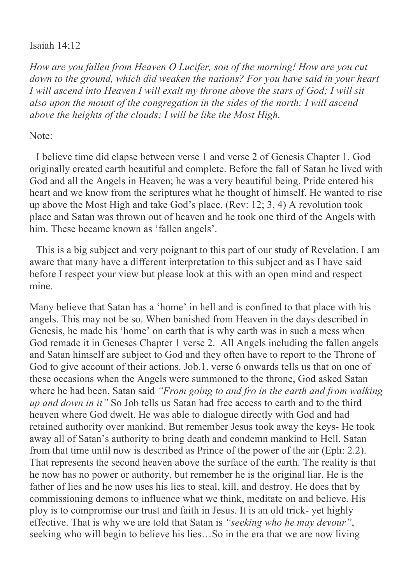## Isaiah 14;12

*How are you fallen from Heaven O Lucifer, son of the morning! How are you cut down to the ground, which did weaken the nations? For you have said in your heart I will ascend into Heaven I will exalt my throne above the stars of God; I will sit also upon the mount of the congregation in the sides of the north: I will ascend above the heights of the clouds; I will be like the Most High.*

## Note:

I believe time did elapse between verse 1 and verse 2 of Genesis Chapter 1. God originally created earth beautiful and complete. Before the fall of Satan he lived with God and all the Angels in Heaven; he was a very beautiful being. Pride entered his heart and we know from the scriptures what he thought of himself. He wanted to rise up above the Most High and take God's place. (Rev: 12; 3, 4) A revolution took place and Satan was thrown out of heaven and he took one third of the Angels with him. These became known as 'fallen angels'.

This is a big subject and very poignant to this part of our study of Revelation. I am aware that many have a different interpretation to this subject and as I have said before I respect your view but please look at this with an open mind and respect mine.

Many believe that Satan has a 'home' in hell and is confined to that place with his angels. This may not be so. When banished from Heaven in the days described in Genesis, he made his 'home' on earth that is why earth was in such a mess when God remade it in Geneses Chapter 1 verse 2. All Angels including the fallen angels and Satan himself are subject to God and they often have to report to the Throne of God to give account of their actions. Job.1. verse 6 onwards tells us that on one of these occasions when the Angels were summoned to the throne, God asked Satan where he had been. Satan said *"From going to and fro in the earth and from walking up and down in it"* So Job tells us Satan had free access to earth and to the third heaven where God dwelt. He was able to dialogue directly with God and had retained authority over mankind. But remember Jesus took away the keys- He took away all of Satan's authority to bring death and condemn mankind to Hell. Satan from that time until now is described as Prince of the power of the air (Eph: 2.2). That represents the second heaven above the surface of the earth. The reality is that he now has no power or authority, but remember he is the original liar. He is the father of lies and he now uses his lies to steal, kill, and destroy. He does that by commissioning demons to influence what we think, meditate on and believe. His ploy is to compromise our trust and faith in Jesus. It is an old trick- yet highly effective. That is why we are told that Satan is *"seeking who he may devour"*, seeking who will begin to believe his lies…So in the era that we are now living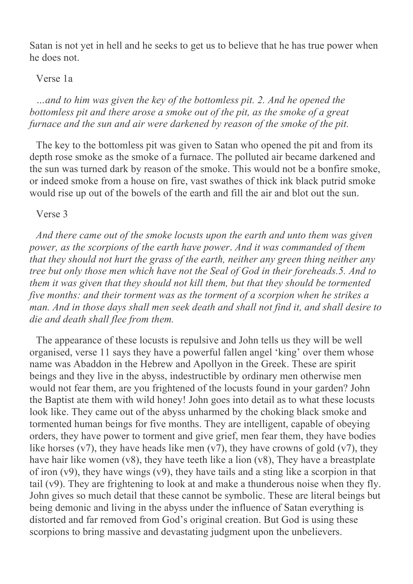Satan is not yet in hell and he seeks to get us to believe that he has true power when he does not.

#### Verse 1a

*…and to him was given the key of the bottomless pit. 2. And he opened the bottomless pit and there arose a smoke out of the pit, as the smoke of a great furnace and the sun and air were darkened by reason of the smoke of the pit.*

The key to the bottomless pit was given to Satan who opened the pit and from its depth rose smoke as the smoke of a furnace. The polluted air became darkened and the sun was turned dark by reason of the smoke. This would not be a bonfire smoke, or indeed smoke from a house on fire, vast swathes of thick ink black putrid smoke would rise up out of the bowels of the earth and fill the air and blot out the sun.

Verse 3

*And there came out of the smoke locusts upon the earth and unto them was given power, as the scorpions of the earth have power*. *And it was commanded of them that they should not hurt the grass of the earth, neither any green thing neither any tree but only those men which have not the Seal of God in their foreheads.5. And to them it was given that they should not kill them, but that they should be tormented five months: and their torment was as the torment of a scorpion when he strikes a man. And in those days shall men seek death and shall not find it, and shall desire to die and death shall flee from them.*

The appearance of these locusts is repulsive and John tells us they will be well organised, verse 11 says they have a powerful fallen angel 'king' over them whose name was Abaddon in the Hebrew and Apollyon in the Greek. These are spirit beings and they live in the abyss, indestructible by ordinary men otherwise men would not fear them, are you frightened of the locusts found in your garden? John the Baptist ate them with wild honey! John goes into detail as to what these locusts look like. They came out of the abyss unharmed by the choking black smoke and tormented human beings for five months. They are intelligent, capable of obeying orders, they have power to torment and give grief, men fear them, they have bodies like horses  $(v7)$ , they have heads like men  $(v7)$ , they have crowns of gold  $(v7)$ , they have hair like women (v8), they have teeth like a lion (v8), They have a breastplate of iron  $(v9)$ , they have wings  $(v9)$ , they have tails and a sting like a scorpion in that tail (v9). They are frightening to look at and make a thunderous noise when they fly. John gives so much detail that these cannot be symbolic. These are literal beings but being demonic and living in the abyss under the influence of Satan everything is distorted and far removed from God's original creation. But God is using these scorpions to bring massive and devastating judgment upon the unbelievers.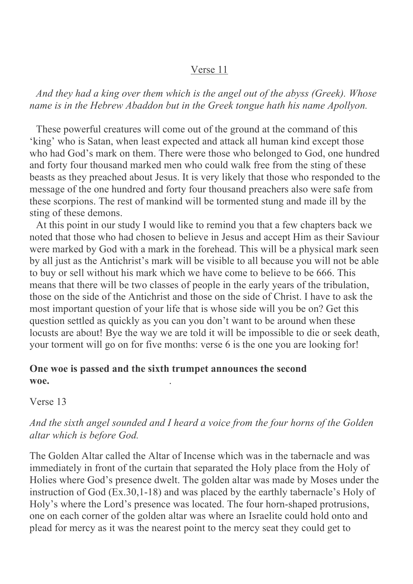## Verse 11

*And they had a king over them which is the angel out of the abyss (Greek). Whose name is in the Hebrew Abaddon but in the Greek tongue hath his name Apollyon.*

These powerful creatures will come out of the ground at the command of this 'king' who is Satan, when least expected and attack all human kind except those who had God's mark on them. There were those who belonged to God, one hundred and forty four thousand marked men who could walk free from the sting of these beasts as they preached about Jesus. It is very likely that those who responded to the message of the one hundred and forty four thousand preachers also were safe from these scorpions. The rest of mankind will be tormented stung and made ill by the sting of these demons.

At this point in our study I would like to remind you that a few chapters back we noted that those who had chosen to believe in Jesus and accept Him as their Saviour were marked by God with a mark in the forehead. This will be a physical mark seen by all just as the Antichrist's mark will be visible to all because you will not be able to buy or sell without his mark which we have come to believe to be 666. This means that there will be two classes of people in the early years of the tribulation, those on the side of the Antichrist and those on the side of Christ. I have to ask the most important question of your life that is whose side will you be on? Get this question settled as quickly as you can you don't want to be around when these locusts are about! Bye the way we are told it will be impossible to die or seek death, your torment will go on for five months: verse 6 is the one you are looking for!

## **One woe is passed and the sixth trumpet announces the second woe.** .

Verse 13

## *And the sixth angel sounded and I heard a voice from the four horns of the Golden altar which is before God.*

The Golden Altar called the Altar of Incense which was in the tabernacle and was immediately in front of the curtain that separated the Holy place from the Holy of Holies where God's presence dwelt. The golden altar was made by Moses under the instruction of God (Ex.30,1-18) and was placed by the earthly tabernacle's Holy of Holy's where the Lord's presence was located. The four horn-shaped protrusions, one on each corner of the golden altar was where an Israelite could hold onto and plead for mercy as it was the nearest point to the mercy seat they could get to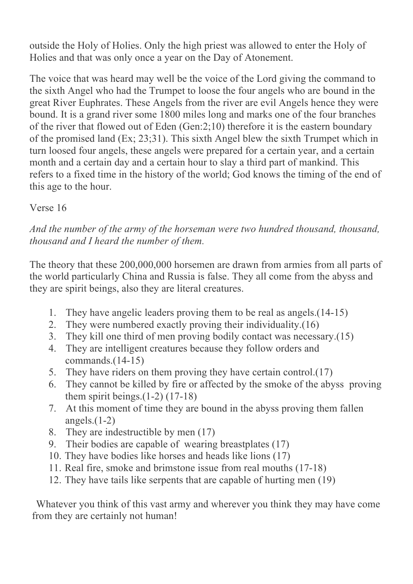outside the Holy of Holies. Only the high priest was allowed to enter the Holy of Holies and that was only once a year on the Day of Atonement.

The voice that was heard may well be the voice of the Lord giving the command to the sixth Angel who had the Trumpet to loose the four angels who are bound in the great River Euphrates. These Angels from the river are evil Angels hence they were bound. It is a grand river some 1800 miles long and marks one of the four branches of the river that flowed out of Eden (Gen:2;10) therefore it is the eastern boundary of the promised land (Ex; 23;31). This sixth Angel blew the sixth Trumpet which in turn loosed four angels, these angels were prepared for a certain year, and a certain month and a certain day and a certain hour to slay a third part of mankind. This refers to a fixed time in the history of the world; God knows the timing of the end of this age to the hour.

## Verse 16

*And the number of the army of the horseman were two hundred thousand, thousand, thousand and I heard the number of them.*

The theory that these 200,000,000 horsemen are drawn from armies from all parts of the world particularly China and Russia is false. They all come from the abyss and they are spirit beings, also they are literal creatures.

- 1. They have angelic leaders proving them to be real as angels.(14-15)
- 2. They were numbered exactly proving their individuality.(16)
- 3. They kill one third of men proving bodily contact was necessary.(15)
- 4. They are intelligent creatures because they follow orders and commands.(14-15)
- 5. They have riders on them proving they have certain control.(17)
- 6. They cannot be killed by fire or affected by the smoke of the abyss proving them spirit beings. $(1-2)$   $(17-18)$
- 7. At this moment of time they are bound in the abyss proving them fallen angels. $(1-2)$
- 8. They are indestructible by men (17)
- 9. Their bodies are capable of wearing breastplates (17)
- 10. They have bodies like horses and heads like lions (17)
- 11. Real fire, smoke and brimstone issue from real mouths (17-18)
- 12. They have tails like serpents that are capable of hurting men (19)

Whatever you think of this vast army and wherever you think they may have come from they are certainly not human!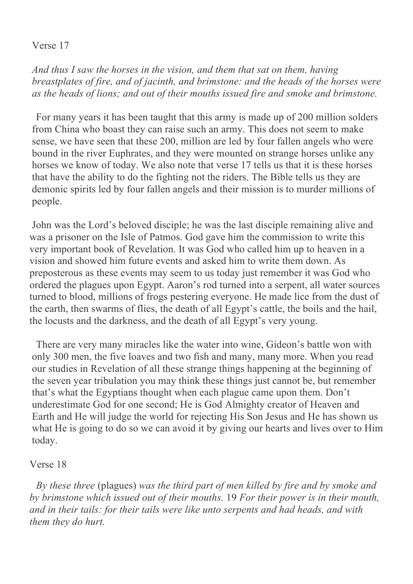## Verse 17

*And thus I saw the horses in the vision, and them that sat on them, having breastplates of fire, and of jacinth, and brimstone: and the heads of the horses were as the heads of lions; and out of their mouths issued fire and smoke and brimstone.*

For many years it has been taught that this army is made up of 200 million solders from China who boast they can raise such an army. This does not seem to make sense, we have seen that these 200, million are led by four fallen angels who were bound in the river Euphrates, and they were mounted on strange horses unlike any horses we know of today. We also note that verse 17 tells us that it is these horses that have the ability to do the fighting not the riders. The Bible tells us they are demonic spirits led by four fallen angels and their mission is to murder millions of people.

John was the Lord's beloved disciple; he was the last disciple remaining alive and was a prisoner on the Isle of Patmos. God gave him the commission to write this very important book of Revelation. It was God who called him up to heaven in a vision and showed him future events and asked him to write them down. As preposterous as these events may seem to us today just remember it was God who ordered the plagues upon Egypt. Aaron's rod turned into a serpent, all water sources turned to blood, millions of frogs pestering everyone. He made lice from the dust of the earth, then swarms of flies, the death of all Egypt's cattle, the boils and the hail, the locusts and the darkness, and the death of all Egypt's very young.

There are very many miracles like the water into wine, Gideon's battle won with only 300 men, the five loaves and two fish and many, many more. When you read our studies in Revelation of all these strange things happening at the beginning of the seven year tribulation you may think these things just cannot be, but remember that's what the Egyptians thought when each plague came upon them. Don't underestimate God for one second; He is God Almighty creator of Heaven and Earth and He will judge the world for rejecting His Son Jesus and He has shown us what He is going to do so we can avoid it by giving our hearts and lives over to Him today.

#### Verse 18

*By these three* (plagues) *was the third part of men killed by fire and by smoke and by brimstone which issued out of their mouths.* 19 *For their power is in their mouth, and in their tails: for their tails were like unto serpents and had heads, and with them they do hurt.*